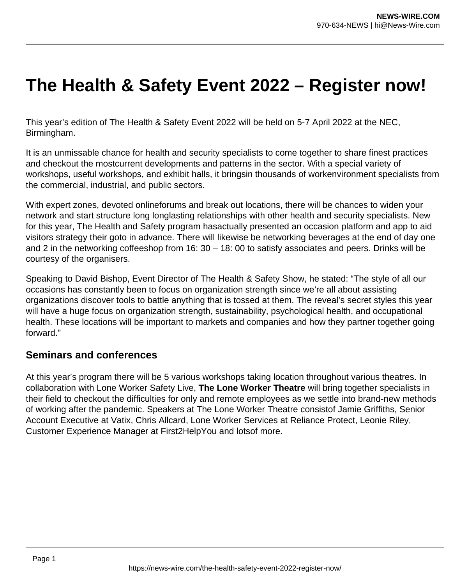## **The Health & Safety Event 2022 – Register now!**

This year's edition of The Health & Safety Event 2022 will be held on 5-7 April 2022 at the NEC, Birmingham.

It is an unmissable chance for health and security specialists to come together to share finest practices and checkout the mostcurrent developments and patterns in the sector. With a special variety of workshops, useful workshops, and exhibit halls, it bringsin thousands of workenvironment specialists from the commercial, industrial, and public sectors.

With expert zones, devoted onlineforums and break out locations, there will be chances to widen your network and start structure long longlasting relationships with other health and security specialists. New for this year, The Health and Safety program hasactually presented an occasion platform and app to aid visitors strategy their goto in advance. There will likewise be networking beverages at the end of day one and 2 in the networking coffeeshop from 16: 30 – 18: 00 to satisfy associates and peers. Drinks will be courtesy of the organisers.

Speaking to David Bishop, Event Director of The Health & Safety Show, he stated: "The style of all our occasions has constantly been to focus on organization strength since we're all about assisting organizations discover tools to battle anything that is tossed at them. The reveal's secret styles this year will have a huge focus on organization strength, sustainability, psychological health, and occupational health. These locations will be important to markets and companies and how they partner together going forward."

## **Seminars and conferences**

At this year's program there will be 5 various workshops taking location throughout various theatres. In collaboration with Lone Worker Safety Live, **The Lone Worker Theatre** will bring together specialists in their field to checkout the difficulties for only and remote employees as we settle into brand-new methods of working after the pandemic. Speakers at The Lone Worker Theatre consistof Jamie Griffiths, Senior Account Executive at Vatix, Chris Allcard, Lone Worker Services at Reliance Protect, Leonie Riley, Customer Experience Manager at First2HelpYou and lotsof more.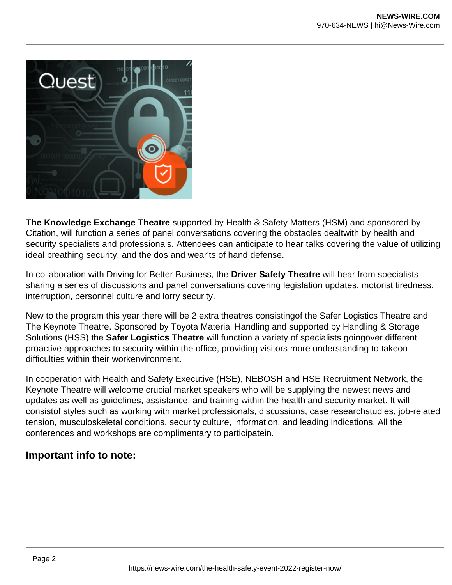

**The Knowledge Exchange Theatre** supported by Health & Safety Matters (HSM) and sponsored by Citation, will function a series of panel conversations covering the obstacles dealtwith by health and security specialists and professionals. Attendees can anticipate to hear talks covering the value of utilizing ideal breathing security, and the dos and wear'ts of hand defense.

In collaboration with Driving for Better Business, the **Driver Safety Theatre** will hear from specialists sharing a series of discussions and panel conversations covering legislation updates, motorist tiredness, interruption, personnel culture and lorry security.

New to the program this year there will be 2 extra theatres consistingof the Safer Logistics Theatre and The Keynote Theatre. Sponsored by Toyota Material Handling and supported by Handling & Storage Solutions (HSS) the **Safer Logistics Theatre** will function a variety of specialists goingover different proactive approaches to security within the office, providing visitors more understanding to takeon difficulties within their workenvironment.

In cooperation with Health and Safety Executive (HSE), NEBOSH and HSE Recruitment Network, the Keynote Theatre will welcome crucial market speakers who will be supplying the newest news and updates as well as guidelines, assistance, and training within the health and security market. It will consistof styles such as working with market professionals, discussions, case researchstudies, job-related tension, musculoskeletal conditions, security culture, information, and leading indications. All the conferences and workshops are complimentary to participatein.

## **Important info to note:**